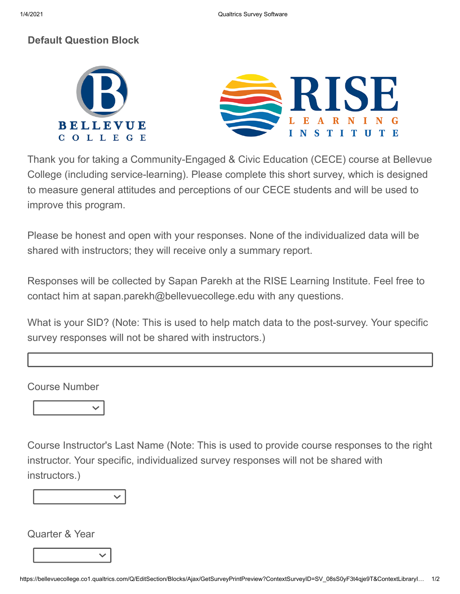## **Default Question Block**





Thank you for taking a Community-Engaged & Civic Education (CECE) course at Bellevue College (including service-learning). Please complete this short survey, which is designed to measure general attitudes and perceptions of our CECE students and will be used to improve this program.

Please be honest and open with your responses. None of the individualized data will be shared with instructors; they will receive only a summary report.

Responses will be collected by Sapan Parekh at the RISE Learning Institute. Feel free to contact him at sapan.parekh@bellevuecollege.edu with any questions.

What is your SID? (Note: This is used to help match data to the post-survey. Your specific survey responses will not be shared with instructors.)

Course Number



Course Instructor's Last Name (Note: This is used to provide course responses to the right instructor. Your specific, individualized survey responses will not be shared with instructors.)



Quarter & Year